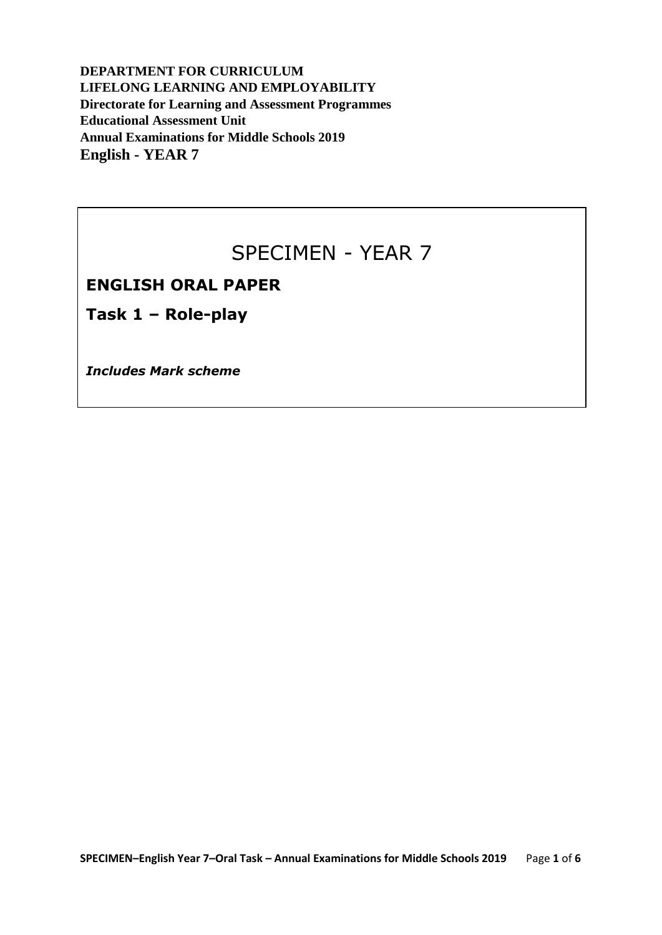**DEPARTMENT FOR CURRICULUM LIFELONG LEARNING AND EMPLOYABILITY Directorate for Learning and Assessment Programmes Educational Assessment Unit Annual Examinations for Middle Schools 2019 English - YEAR 7**

### SPECIMEN - YEAR 7

### **ENGLISH ORAL PAPER**

**Task 1 – Role-play** 

*Includes Mark scheme*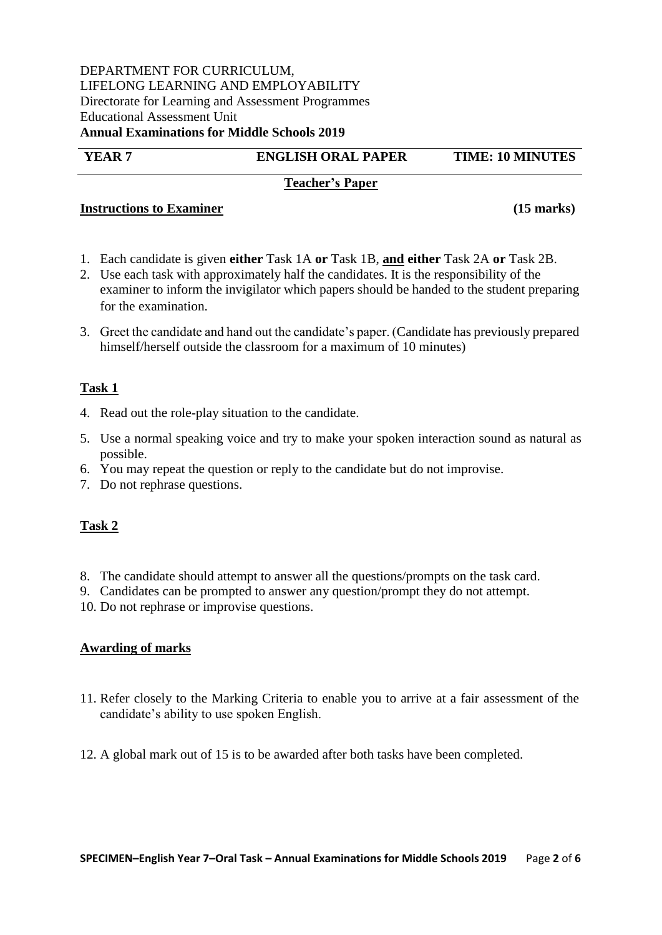#### DEPARTMENT FOR CURRICULUM, LIFELONG LEARNING AND EMPLOYABILITY Directorate for Learning and Assessment Programmes Educational Assessment Unit **Annual Examinations for Middle Schools 2019**

### **YEAR 7 ENGLISH ORAL PAPER TIME: 10 MINUTES**

### **Teacher's Paper**

### **Instructions to Examiner (15 marks)**

- 1. Each candidate is given **either** Task 1A **or** Task 1B, **and either** Task 2A **or** Task 2B.
- 2. Use each task with approximately half the candidates. It is the responsibility of the examiner to inform the invigilator which papers should be handed to the student preparing for the examination.
- 3. Greet the candidate and hand out the candidate's paper. (Candidate has previously prepared himself/herself outside the classroom for a maximum of 10 minutes)

### **Task 1**

- 4. Read out the role-play situation to the candidate.
- 5. Use a normal speaking voice and try to make your spoken interaction sound as natural as possible.
- 6. You may repeat the question or reply to the candidate but do not improvise.
- 7. Do not rephrase questions.

### **Task 2**

- 8. The candidate should attempt to answer all the questions/prompts on the task card.
- 9. Candidates can be prompted to answer any question/prompt they do not attempt.
- 10. Do not rephrase or improvise questions.

### **Awarding of marks**

- 11. Refer closely to the Marking Criteria to enable you to arrive at a fair assessment of the candidate's ability to use spoken English.
- 12. A global mark out of 15 is to be awarded after both tasks have been completed.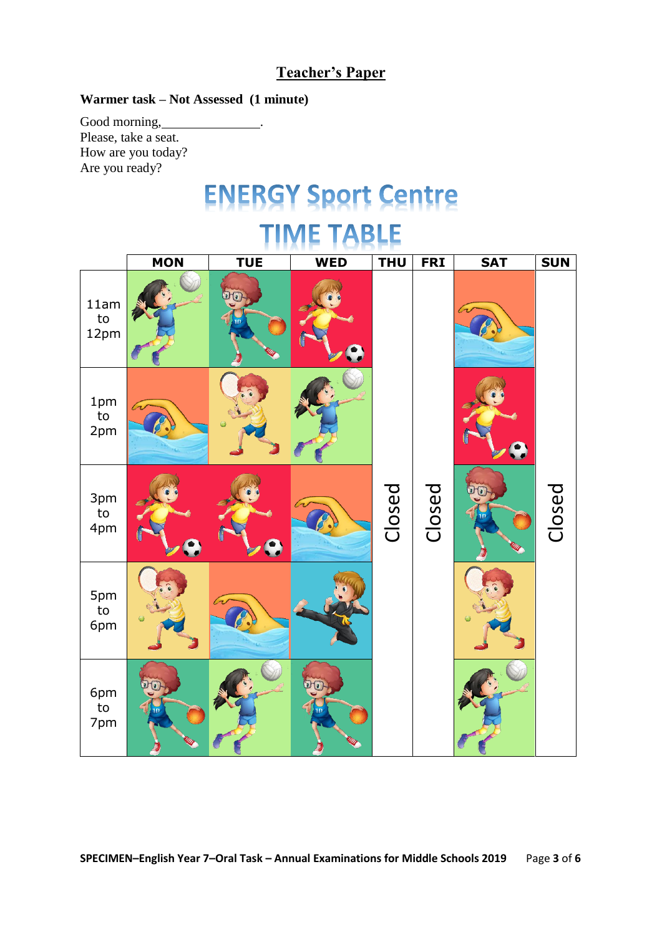### **Teacher's Paper**

### **Warmer task – Not Assessed (1 minute)**

Good morning, Please, take a seat. How are you today? Are you ready?

## **ENERGY Sport Centre**

### **TABLE MON TUE WED THU FRI SAT SUN** הוו 11am to 12pm 1pm to 2pm Closed Closed Closed 3pm to 4pm 5pm to 6pm 6pm to 7pm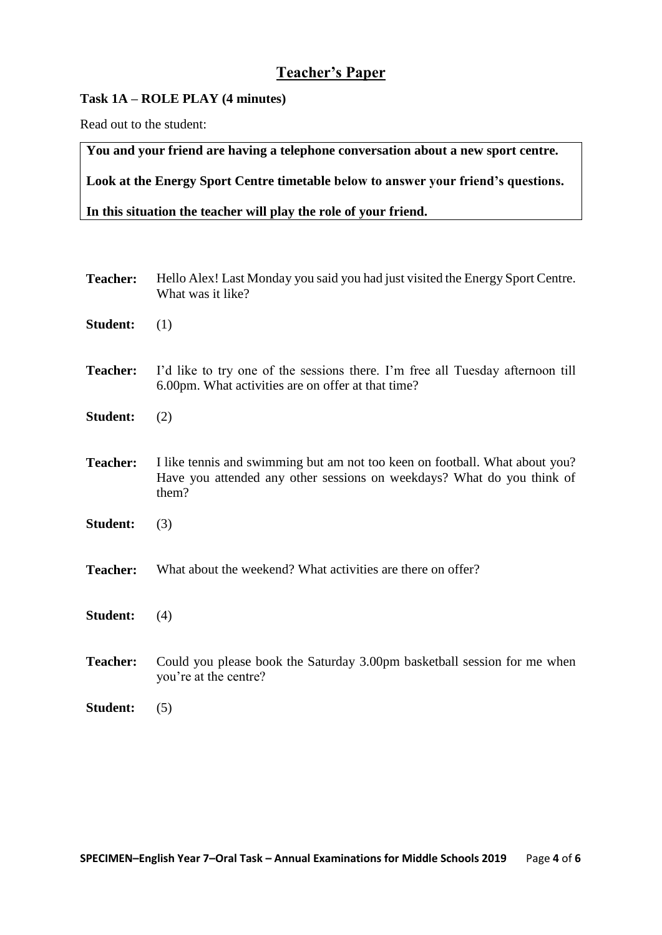### **Teacher's Paper**

### **Task 1A – ROLE PLAY (4 minutes)**

Read out to the student:

**You and your friend are having a telephone conversation about a new sport centre.** 

**Look at the Energy Sport Centre timetable below to answer your friend's questions.**

**In this situation the teacher will play the role of your friend.**

| <b>Teacher:</b> | Hello Alex! Last Monday you said you had just visited the Energy Sport Centre.<br>What was it like?                                                            |  |  |  |  |
|-----------------|----------------------------------------------------------------------------------------------------------------------------------------------------------------|--|--|--|--|
| <b>Student:</b> | (1)                                                                                                                                                            |  |  |  |  |
| <b>Teacher:</b> | I'd like to try one of the sessions there. I'm free all Tuesday afternoon till<br>6.00pm. What activities are on offer at that time?                           |  |  |  |  |
| <b>Student:</b> | (2)                                                                                                                                                            |  |  |  |  |
| <b>Teacher:</b> | I like tennis and swimming but am not too keen on football. What about you?<br>Have you attended any other sessions on weekdays? What do you think of<br>them? |  |  |  |  |
| <b>Student:</b> | (3)                                                                                                                                                            |  |  |  |  |
| <b>Teacher:</b> | What about the weekend? What activities are there on offer?                                                                                                    |  |  |  |  |
| <b>Student:</b> | (4)                                                                                                                                                            |  |  |  |  |
| <b>Teacher:</b> | Could you please book the Saturday 3.00pm basketball session for me when<br>you're at the centre?                                                              |  |  |  |  |
| <b>Student:</b> | (5)                                                                                                                                                            |  |  |  |  |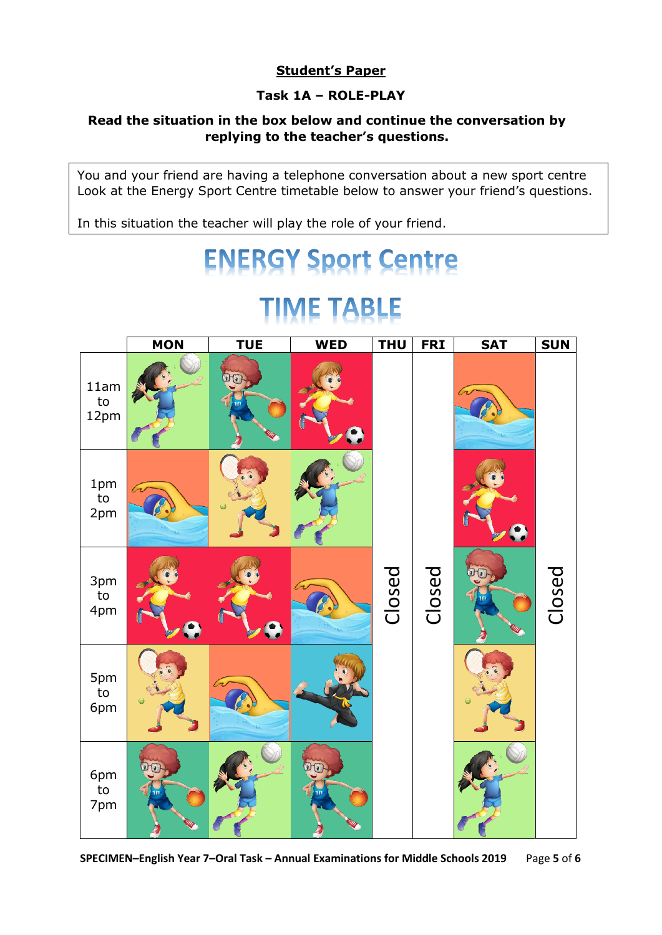### **Student's Paper**

### **Task 1A – ROLE-PLAY**

### **Read the situation in the box below and continue the conversation by replying to the teacher's questions.**

You and your friend are having a telephone conversation about a new sport centre Look at the Energy Sport Centre timetable below to answer your friend's questions.

In this situation the teacher will play the role of your friend.

# **ENERGY Sport Centre**

## **TIME TABLE**

|                               | <b>MON</b> | <b>TUE</b> | <b>WED</b> | <b>THU</b> | <b>FRI</b> | <b>SAT</b> | <b>SUN</b> |
|-------------------------------|------------|------------|------------|------------|------------|------------|------------|
| 11am<br>$\mathsf{to}$<br>12pm |            |            |            |            |            |            |            |
| 1pm<br>${\sf to}$<br>2pm      | $\sqrt{2}$ |            |            |            |            |            |            |
| 3pm<br>$\mathsf{to}$<br>4pm   |            |            |            | Closed     | Closed     |            | Closed     |
| 5pm<br>$\mathsf{to}$<br>6pm   |            |            |            |            |            |            |            |
| 6pm<br>to<br>7pm              |            |            |            |            |            |            |            |

**SPECIMEN–English Year 7–Oral Task – Annual Examinations for Middle Schools 2019** Page **5** of **6**